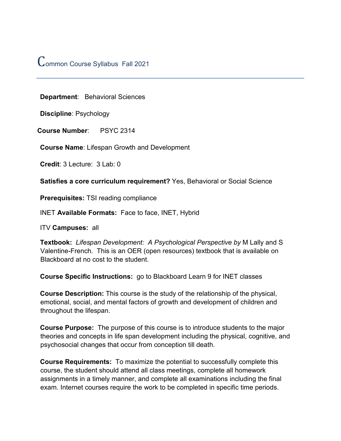# Common Course Syllabus Fall <sup>2021</sup>

**Department**: Behavioral Sciences

**Discipline**: Psychology

**Course Number**: PSYC 2314

**Course Name**: Lifespan Growth and Development

**Credit**: 3 Lecture: 3 Lab: 0

**Satisfies a core curriculum requirement?** Yes, Behavioral or Social Science

**Prerequisites:** TSI reading compliance

INET **Available Formats:** Face to face, INET, Hybrid

ITV **Campuses:** all

**Textbook:** *Lifespan Development: A Psychological Perspective by* M Lally and S Valentine-French. This is an OER (open resources) textbook that is available on Blackboard at no cost to the student.

**Course Specific Instructions:** go to Blackboard Learn 9 for INET classes

**Course Description:** This course is the study of the relationship of the physical, emotional, social, and mental factors of growth and development of children and throughout the lifespan.

**Course Purpose:** The purpose of this course is to introduce students to the major theories and concepts in life span development including the physical, cognitive, and psychosocial changes that occur from conception till death.

**Course Requirements:** To maximize the potential to successfully complete this course, the student should attend all class meetings, complete all homework assignments in a timely manner, and complete all examinations including the final exam. Internet courses require the work to be completed in specific time periods.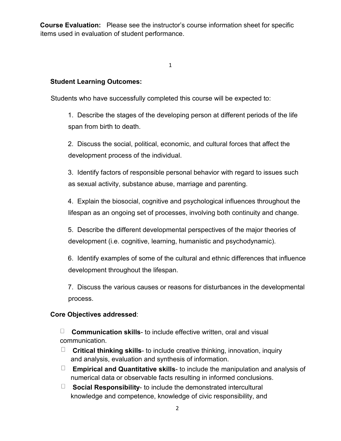**Course Evaluation:** Please see the instructor's course information sheet for specific items used in evaluation of student performance.

1

### **Student Learning Outcomes:**

Students who have successfully completed this course will be expected to:

1. Describe the stages of the developing person at different periods of the life span from birth to death.

2. Discuss the social, political, economic, and cultural forces that affect the development process of the individual.

3. Identify factors of responsible personal behavior with regard to issues such as sexual activity, substance abuse, marriage and parenting.

4. Explain the biosocial, cognitive and psychological influences throughout the lifespan as an ongoing set of processes, involving both continuity and change.

5. Describe the different developmental perspectives of the major theories of development (i.e. cognitive, learning, humanistic and psychodynamic).

6. Identify examples of some of the cultural and ethnic differences that influence development throughout the lifespan.

7. Discuss the various causes or reasons for disturbances in the developmental process.

#### **Core Objectives addressed**:

 $\Box$ **Communication skills**- to include effective written, oral and visual communication.

- **Critical thinking skills** to include creative thinking, innovation, inquiry and analysis, evaluation and synthesis of information.
- **Empirical and Quantitative skills** to include the manipulation and analysis of numerical data or observable facts resulting in informed conclusions.
- **Social Responsibility** to include the demonstrated intercultural knowledge and competence, knowledge of civic responsibility, and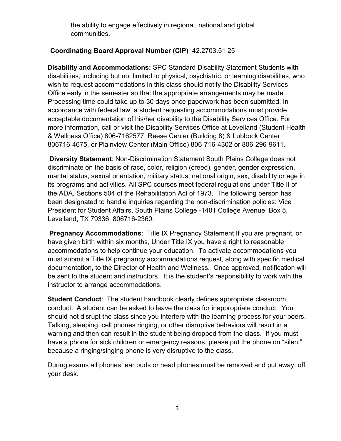the ability to engage effectively in regional, national and global communities.

# **Coordinating Board Approval Number (CIP)** 42.2703.51 25

**Disability and Accommodations:** SPC Standard Disability Statement Students with disabilities, including but not limited to physical, psychiatric, or learning disabilities, who wish to request accommodations in this class should notify the Disability Services Office early in the semester so that the appropriate arrangements may be made. Processing time could take up to 30 days once paperwork has been submitted. In accordance with federal law, a student requesting accommodations must provide acceptable documentation of his/her disability to the Disability Services Office. For more information, call or visit the Disability Services Office at Levelland (Student Health & Wellness Office) 806-7162577, Reese Center (Building 8) & Lubbock Center 806716-4675, or Plainview Center (Main Office) 806-716-4302 or 806-296-9611.

**Diversity Statement**: Non-Discrimination Statement South Plains College does not discriminate on the basis of race, color, religion (creed), gender, gender expression, marital status, sexual orientation, military status, national origin, sex, disability or age in its programs and activities. All SPC courses meet federal regulations under Title II of the ADA, Sections 504 of the Rehabilitation Act of 1973. The following person has been designated to handle inquiries regarding the non-discrimination policies: Vice President for Student Affairs, South Plains College -1401 College Avenue, Box 5, Levelland, TX 79336, 806716-2360.

**Pregnancy Accommodations:** Title IX Pregnancy Statement If you are pregnant, or have given birth within six months, Under Title IX you have a right to reasonable accommodations to help continue your education. To activate accommodations you must submit a Title IX pregnancy accommodations request, along with specific medical documentation, to the Director of Health and Wellness. Once approved, notification will be sent to the student and instructors. It is the student's responsibility to work with the instructor to arrange accommodations.

**Student Conduct**: The student handbook clearly defines appropriate classroom conduct. A student can be asked to leave the class for inappropriate conduct. You should not disrupt the class since you interfere with the learning process for your peers. Talking, sleeping, cell phones ringing, or other disruptive behaviors will result in a warning and then can result in the student being dropped from the class. If you must have a phone for sick children or emergency reasons, please put the phone on "silent" because a ringing/singing phone is very disruptive to the class.

During exams all phones, ear buds or head phones must be removed and put away, off your desk.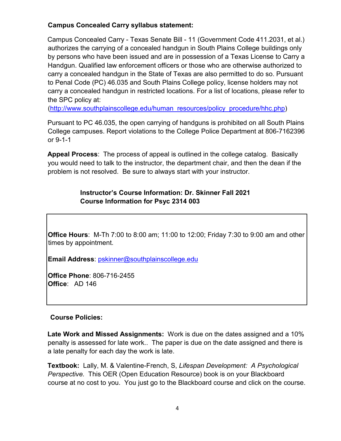# **Campus Concealed Carry syllabus statement:**

Campus Concealed Carry - Texas Senate Bill - 11 (Government Code 411.2031, et al.) authorizes the carrying of a concealed handgun in South Plains College buildings only by persons who have been issued and are in possession of a Texas License to Carry a Handgun. Qualified law enforcement officers or those who are otherwise authorized to carry a concealed handgun in the State of Texas are also permitted to do so. Pursuant to Penal Code (PC) 46.035 and South Plains College policy, license holders may not carry a concealed handgun in restricted locations. For a list of locations, please refer to the SPC policy at:

[\(http://www.southplainscollege.edu/human\\_resources/policy\\_procedure/hhc.php\)](http://www.southplainscollege.edu/human_resources/policy_procedure/hhc.php)

Pursuant to PC 46.035, the open carrying of handguns is prohibited on all South Plains College campuses. Report violations to the College Police Department at 806-7162396 or 9-1-1

**Appeal Process**: The process of appeal is outlined in the college catalog. Basically you would need to talk to the instructor, the department chair, and then the dean if the problem is not resolved. Be sure to always start with your instructor.

# **Instructor's Course Information: Dr. Skinner Fall 2021 Course Information for Psyc 2314 003**

**Office Hours**: M-Th 7:00 to 8:00 am; 11:00 to 12:00; Friday 7:30 to 9:00 am and other times by appointment.

**Email Address**: pskinner@southplainscollege.edu

**Office Phone**: 806-716-2455 **Office**: AD 146

# **Course Policies:**

**Late Work and Missed Assignments:** Work is due on the dates assigned and a 10% penalty is assessed for late work.. The paper is due on the date assigned and there is a late penalty for each day the work is late.

**Textbook:** Lally, M. & Valentine-French, S, *Lifespan Development: A Psychological Perspective.* This OER (Open Education Resource) book is on your Blackboard course at no cost to you. You just go to the Blackboard course and click on the course.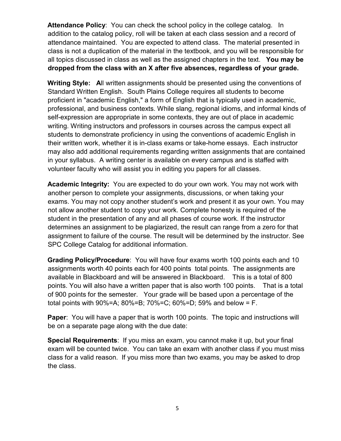**Attendance Policy**: You can check the school policy in the college catalog. In addition to the catalog policy, roll will be taken at each class session and a record of attendance maintained. You are expected to attend class. The material presented in class is not a duplication of the material in the textbook, and you will be responsible for all topics discussed in class as well as the assigned chapters in the text. **You may be dropped from the class with an X after five absences, regardless of your grade.**

**Writing Style: A**ll written assignments should be presented using the conventions of Standard Written English. South Plains College requires all students to become proficient in "academic English," a form of English that is typically used in academic, professional, and business contexts. While slang, regional idioms, and informal kinds of self-expression are appropriate in some contexts, they are out of place in academic writing. Writing instructors and professors in courses across the campus expect all students to demonstrate proficiency in using the conventions of academic English in their written work, whether it is in-class exams or take-home essays. Each instructor may also add additional requirements regarding written assignments that are contained in your syllabus. A writing center is available on every campus and is staffed with volunteer faculty who will assist you in editing you papers for all classes.

**Academic Integrity:** You are expected to do your own work. You may not work with another person to complete your assignments, discussions, or when taking your exams. You may not copy another student's work and present it as your own. You may not allow another student to copy your work. Complete honesty is required of the student in the presentation of any and all phases of course work. If the instructor determines an assignment to be plagiarized, the result can range from a zero for that assignment to failure of the course. The result will be determined by the instructor. See SPC College Catalog for additional information.

**Grading Policy/Procedure**: You will have four exams worth 100 points each and 10 assignments worth 40 points each for 400 points total points. The assignments are available in Blackboard and will be answered in Blackboard. This is a total of 800 points. You will also have a written paper that is also worth 100 points. That is a total of 900 points for the semester. Your grade will be based upon a percentage of the total points with 90%=A; 80%=B; 70%=C; 60%=D; 59% and below = F.

**Paper**: You will have a paper that is worth 100 points. The topic and instructions will be on a separate page along with the due date:

**Special Requirements**: If you miss an exam, you cannot make it up, but your final exam will be counted twice. You can take an exam with another class if you must miss class for a valid reason. If you miss more than two exams, you may be asked to drop the class.